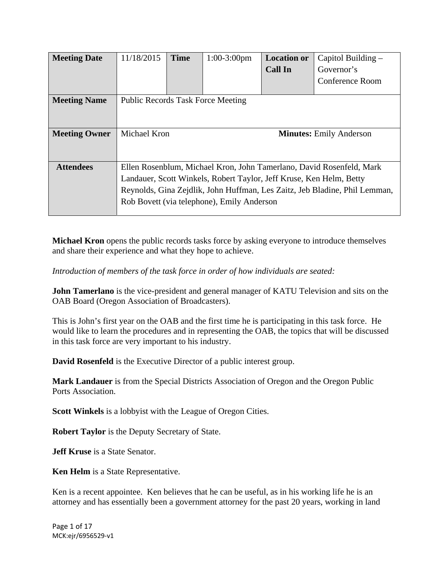| <b>Meeting Date</b>  | 11/18/2015                                                                 | <b>Time</b> | $1:00-3:00$ pm | <b>Location or</b>             | Capitol Building $-$ |
|----------------------|----------------------------------------------------------------------------|-------------|----------------|--------------------------------|----------------------|
|                      |                                                                            |             |                | <b>Call In</b>                 | Governor's           |
|                      |                                                                            |             |                |                                | Conference Room      |
| <b>Meeting Name</b>  | <b>Public Records Task Force Meeting</b>                                   |             |                |                                |                      |
|                      |                                                                            |             |                |                                |                      |
|                      |                                                                            |             |                |                                |                      |
| <b>Meeting Owner</b> | Michael Kron                                                               |             |                | <b>Minutes:</b> Emily Anderson |                      |
|                      |                                                                            |             |                |                                |                      |
|                      |                                                                            |             |                |                                |                      |
| <b>Attendees</b>     | Ellen Rosenblum, Michael Kron, John Tamerlano, David Rosenfeld, Mark       |             |                |                                |                      |
|                      | Landauer, Scott Winkels, Robert Taylor, Jeff Kruse, Ken Helm, Betty        |             |                |                                |                      |
|                      | Reynolds, Gina Zejdlik, John Huffman, Les Zaitz, Jeb Bladine, Phil Lemman, |             |                |                                |                      |
|                      | Rob Bovett (via telephone), Emily Anderson                                 |             |                |                                |                      |
|                      |                                                                            |             |                |                                |                      |

**Michael Kron** opens the public records tasks force by asking everyone to introduce themselves and share their experience and what they hope to achieve.

*Introduction of members of the task force in order of how individuals are seated:* 

**John Tamerlano** is the vice-president and general manager of KATU Television and sits on the OAB Board (Oregon Association of Broadcasters).

This is John's first year on the OAB and the first time he is participating in this task force. He would like to learn the procedures and in representing the OAB, the topics that will be discussed in this task force are very important to his industry.

**David Rosenfeld** is the Executive Director of a public interest group.

**Mark Landauer** is from the Special Districts Association of Oregon and the Oregon Public Ports Association.

**Scott Winkels** is a lobbyist with the League of Oregon Cities.

**Robert Taylor** is the Deputy Secretary of State.

**Jeff Kruse** is a State Senator.

**Ken Helm** is a State Representative.

Ken is a recent appointee. Ken believes that he can be useful, as in his working life he is an attorney and has essentially been a government attorney for the past 20 years, working in land

Page 1 of 17 MCK:ejr/6956529‐v1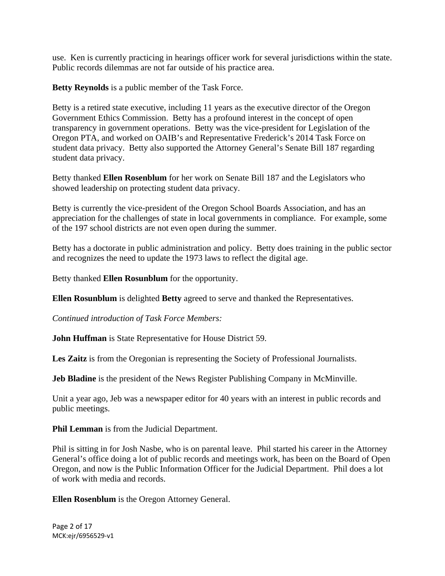use. Ken is currently practicing in hearings officer work for several jurisdictions within the state. Public records dilemmas are not far outside of his practice area.

**Betty Reynolds** is a public member of the Task Force.

Betty is a retired state executive, including 11 years as the executive director of the Oregon Government Ethics Commission. Betty has a profound interest in the concept of open transparency in government operations. Betty was the vice-president for Legislation of the Oregon PTA, and worked on OAIB's and Representative Frederick's 2014 Task Force on student data privacy. Betty also supported the Attorney General's Senate Bill 187 regarding student data privacy.

Betty thanked **Ellen Rosenblum** for her work on Senate Bill 187 and the Legislators who showed leadership on protecting student data privacy.

Betty is currently the vice-president of the Oregon School Boards Association, and has an appreciation for the challenges of state in local governments in compliance. For example, some of the 197 school districts are not even open during the summer.

Betty has a doctorate in public administration and policy. Betty does training in the public sector and recognizes the need to update the 1973 laws to reflect the digital age.

Betty thanked **Ellen Rosunblum** for the opportunity.

**Ellen Rosunblum** is delighted **Betty** agreed to serve and thanked the Representatives.

*Continued introduction of Task Force Members:*

**John Huffman** is State Representative for House District 59.

Les Zaitz is from the Oregonian is representing the Society of Professional Journalists.

**Jeb Bladine** is the president of the News Register Publishing Company in McMinville.

Unit a year ago, Jeb was a newspaper editor for 40 years with an interest in public records and public meetings.

**Phil Lemman** is from the Judicial Department.

Phil is sitting in for Josh Nasbe, who is on parental leave. Phil started his career in the Attorney General's office doing a lot of public records and meetings work, has been on the Board of Open Oregon, and now is the Public Information Officer for the Judicial Department. Phil does a lot of work with media and records.

**Ellen Rosenblum** is the Oregon Attorney General.

Page 2 of 17 MCK:ejr/6956529‐v1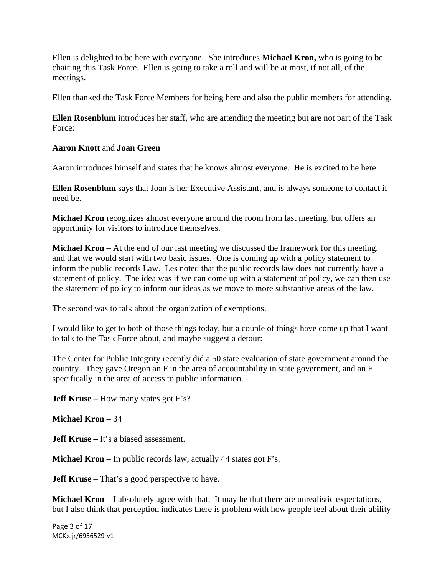Ellen is delighted to be here with everyone. She introduces **Michael Kron,** who is going to be chairing this Task Force. Ellen is going to take a roll and will be at most, if not all, of the meetings.

Ellen thanked the Task Force Members for being here and also the public members for attending.

**Ellen Rosenblum** introduces her staff, who are attending the meeting but are not part of the Task Force:

## **Aaron Knott** and **Joan Green**

Aaron introduces himself and states that he knows almost everyone. He is excited to be here.

**Ellen Rosenblum** says that Joan is her Executive Assistant, and is always someone to contact if need be.

**Michael Kron** recognizes almost everyone around the room from last meeting, but offers an opportunity for visitors to introduce themselves.

**Michael Kron** – At the end of our last meeting we discussed the framework for this meeting, and that we would start with two basic issues. One is coming up with a policy statement to inform the public records Law. Les noted that the public records law does not currently have a statement of policy. The idea was if we can come up with a statement of policy, we can then use the statement of policy to inform our ideas as we move to more substantive areas of the law.

The second was to talk about the organization of exemptions.

I would like to get to both of those things today, but a couple of things have come up that I want to talk to the Task Force about, and maybe suggest a detour:

The Center for Public Integrity recently did a 50 state evaluation of state government around the country. They gave Oregon an F in the area of accountability in state government, and an F specifically in the area of access to public information.

**Jeff Kruse** – How many states got F's?

## **Michael Kron** – 34

**Jeff Kruse** – It's a biased assessment.

**Michael Kron** – In public records law, actually 44 states got F's.

**Jeff Kruse** – That's a good perspective to have.

**Michael Kron** – I absolutely agree with that. It may be that there are unrealistic expectations, but I also think that perception indicates there is problem with how people feel about their ability

Page 3 of 17 MCK:ejr/6956529‐v1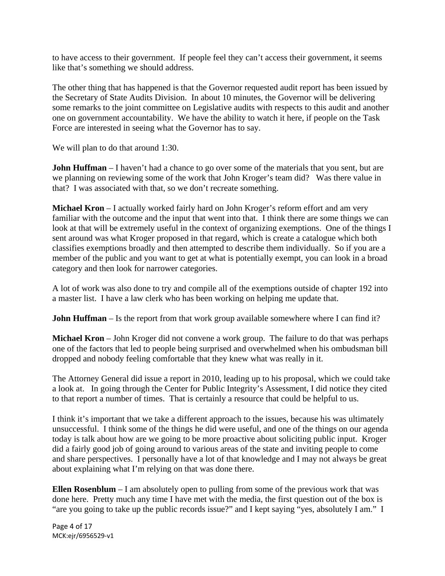to have access to their government. If people feel they can't access their government, it seems like that's something we should address.

The other thing that has happened is that the Governor requested audit report has been issued by the Secretary of State Audits Division. In about 10 minutes, the Governor will be delivering some remarks to the joint committee on Legislative audits with respects to this audit and another one on government accountability. We have the ability to watch it here, if people on the Task Force are interested in seeing what the Governor has to say.

We will plan to do that around 1:30.

**John Huffman** – I haven't had a chance to go over some of the materials that you sent, but are we planning on reviewing some of the work that John Kroger's team did?Was there value in that? I was associated with that, so we don't recreate something.

**Michael Kron** – I actually worked fairly hard on John Kroger's reform effort and am very familiar with the outcome and the input that went into that. I think there are some things we can look at that will be extremely useful in the context of organizing exemptions. One of the things I sent around was what Kroger proposed in that regard, which is create a catalogue which both classifies exemptions broadly and then attempted to describe them individually. So if you are a member of the public and you want to get at what is potentially exempt, you can look in a broad category and then look for narrower categories.

A lot of work was also done to try and compile all of the exemptions outside of chapter 192 into a master list. I have a law clerk who has been working on helping me update that.

**John Huffman** – Is the report from that work group available somewhere where I can find it?

**Michael Kron** – John Kroger did not convene a work group. The failure to do that was perhaps one of the factors that led to people being surprised and overwhelmed when his ombudsman bill dropped and nobody feeling comfortable that they knew what was really in it.

The Attorney General did issue a report in 2010, leading up to his proposal, which we could take a look at. In going through the Center for Public Integrity's Assessment, I did notice they cited to that report a number of times. That is certainly a resource that could be helpful to us.

I think it's important that we take a different approach to the issues, because his was ultimately unsuccessful. I think some of the things he did were useful, and one of the things on our agenda today is talk about how are we going to be more proactive about soliciting public input. Kroger did a fairly good job of going around to various areas of the state and inviting people to come and share perspectives. I personally have a lot of that knowledge and I may not always be great about explaining what I'm relying on that was done there.

**Ellen Rosenblum** – I am absolutely open to pulling from some of the previous work that was done here. Pretty much any time I have met with the media, the first question out of the box is "are you going to take up the public records issue?" and I kept saying "yes, absolutely I am." I

Page 4 of 17 MCK:ejr/6956529‐v1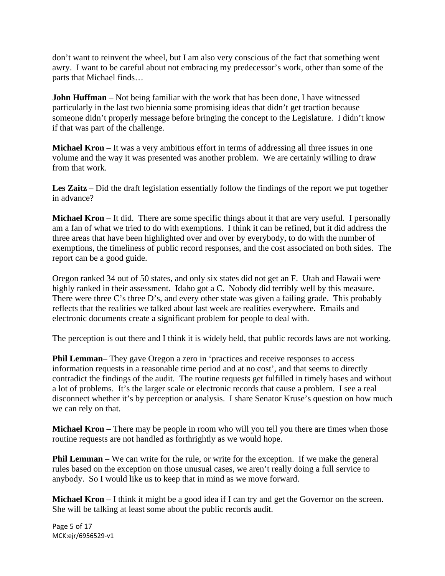don't want to reinvent the wheel, but I am also very conscious of the fact that something went awry. I want to be careful about not embracing my predecessor's work, other than some of the parts that Michael finds…

**John Huffman** – Not being familiar with the work that has been done, I have witnessed particularly in the last two biennia some promising ideas that didn't get traction because someone didn't properly message before bringing the concept to the Legislature. I didn't know if that was part of the challenge.

**Michael Kron** – It was a very ambitious effort in terms of addressing all three issues in one volume and the way it was presented was another problem. We are certainly willing to draw from that work.

**Les Zaitz** – Did the draft legislation essentially follow the findings of the report we put together in advance?

**Michael Kron** – It did. There are some specific things about it that are very useful. I personally am a fan of what we tried to do with exemptions. I think it can be refined, but it did address the three areas that have been highlighted over and over by everybody, to do with the number of exemptions, the timeliness of public record responses, and the cost associated on both sides. The report can be a good guide.

Oregon ranked 34 out of 50 states, and only six states did not get an F. Utah and Hawaii were highly ranked in their assessment. Idaho got a C. Nobody did terribly well by this measure. There were three C's three D's, and every other state was given a failing grade. This probably reflects that the realities we talked about last week are realities everywhere. Emails and electronic documents create a significant problem for people to deal with.

The perception is out there and I think it is widely held, that public records laws are not working.

**Phil Lemman**– They gave Oregon a zero in 'practices and receive responses to access information requests in a reasonable time period and at no cost', and that seems to directly contradict the findings of the audit. The routine requests get fulfilled in timely bases and without a lot of problems. It's the larger scale or electronic records that cause a problem. I see a real disconnect whether it's by perception or analysis. I share Senator Kruse's question on how much we can rely on that.

**Michael Kron** – There may be people in room who will you tell you there are times when those routine requests are not handled as forthrightly as we would hope.

**Phil Lemman** – We can write for the rule, or write for the exception. If we make the general rules based on the exception on those unusual cases, we aren't really doing a full service to anybody. So I would like us to keep that in mind as we move forward.

**Michael Kron** – I think it might be a good idea if I can try and get the Governor on the screen. She will be talking at least some about the public records audit.

Page 5 of 17 MCK:ejr/6956529‐v1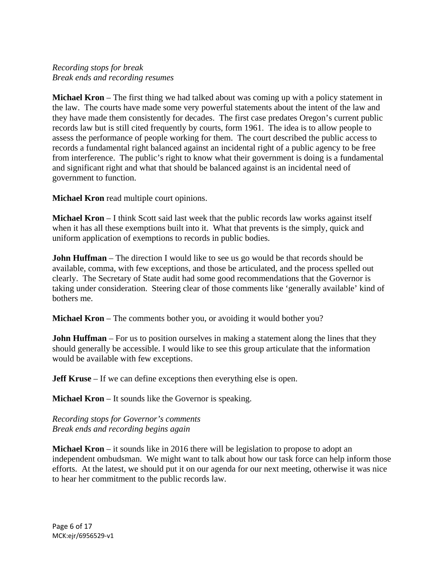## *Recording stops for break Break ends and recording resumes*

**Michael Kron** – The first thing we had talked about was coming up with a policy statement in the law. The courts have made some very powerful statements about the intent of the law and they have made them consistently for decades. The first case predates Oregon's current public records law but is still cited frequently by courts, form 1961. The idea is to allow people to assess the performance of people working for them. The court described the public access to records a fundamental right balanced against an incidental right of a public agency to be free from interference. The public's right to know what their government is doing is a fundamental and significant right and what that should be balanced against is an incidental need of government to function.

**Michael Kron** read multiple court opinions.

**Michael Kron** – I think Scott said last week that the public records law works against itself when it has all these exemptions built into it. What that prevents is the simply, quick and uniform application of exemptions to records in public bodies.

**John Huffman** – The direction I would like to see us go would be that records should be available, comma, with few exceptions, and those be articulated, and the process spelled out clearly. The Secretary of State audit had some good recommendations that the Governor is taking under consideration. Steering clear of those comments like 'generally available' kind of bothers me.

**Michael Kron** – The comments bother you, or avoiding it would bother you?

**John Huffman** – For us to position ourselves in making a statement along the lines that they should generally be accessible. I would like to see this group articulate that the information would be available with few exceptions.

**Jeff Kruse** – If we can define exceptions then everything else is open.

**Michael Kron** – It sounds like the Governor is speaking.

*Recording stops for Governor's comments Break ends and recording begins again* 

**Michael Kron** – it sounds like in 2016 there will be legislation to propose to adopt an independent ombudsman. We might want to talk about how our task force can help inform those efforts. At the latest, we should put it on our agenda for our next meeting, otherwise it was nice to hear her commitment to the public records law.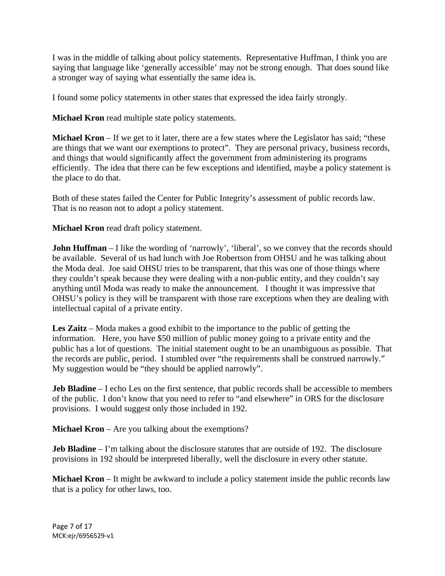I was in the middle of talking about policy statements. Representative Huffman, I think you are saying that language like 'generally accessible' may not be strong enough. That does sound like a stronger way of saying what essentially the same idea is.

I found some policy statements in other states that expressed the idea fairly strongly.

**Michael Kron** read multiple state policy statements.

**Michael Kron** – If we get to it later, there are a few states where the Legislator has said; "these are things that we want our exemptions to protect". They are personal privacy, business records, and things that would significantly affect the government from administering its programs efficiently. The idea that there can be few exceptions and identified, maybe a policy statement is the place to do that.

Both of these states failed the Center for Public Integrity's assessment of public records law. That is no reason not to adopt a policy statement.

**Michael Kron** read draft policy statement.

**John Huffman** – I like the wording of 'narrowly', 'liberal', so we convey that the records should be available. Several of us had lunch with Joe Robertson from OHSU and he was talking about the Moda deal. Joe said OHSU tries to be transparent, that this was one of those things where they couldn't speak because they were dealing with a non-public entity, and they couldn't say anything until Moda was ready to make the announcement. I thought it was impressive that OHSU's policy is they will be transparent with those rare exceptions when they are dealing with intellectual capital of a private entity.

**Les Zaitz** – Moda makes a good exhibit to the importance to the public of getting the information. Here, you have \$50 million of public money going to a private entity and the public has a lot of questions. The initial statement ought to be an unambiguous as possible. That the records are public, period. I stumbled over "the requirements shall be construed narrowly." My suggestion would be "they should be applied narrowly".

**Jeb Bladine** – I echo Les on the first sentence, that public records shall be accessible to members of the public. I don't know that you need to refer to "and elsewhere" in ORS for the disclosure provisions. I would suggest only those included in 192.

**Michael Kron** – Are you talking about the exemptions?

**Jeb Bladine** – I'm talking about the disclosure statutes that are outside of 192. The disclosure provisions in 192 should be interpreted liberally, well the disclosure in every other statute.

**Michael Kron** – It might be awkward to include a policy statement inside the public records law that is a policy for other laws, too.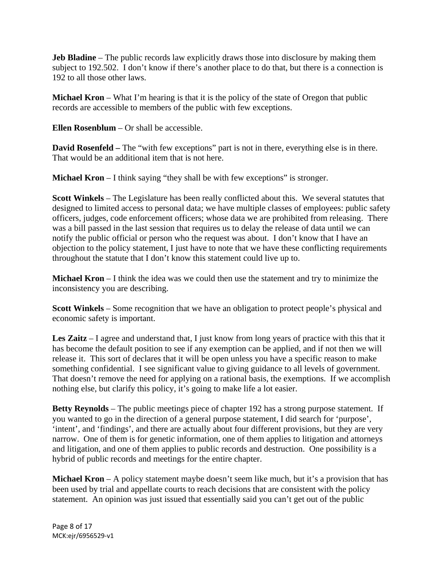**Jeb Bladine** – The public records law explicitly draws those into disclosure by making them subject to 192.502. I don't know if there's another place to do that, but there is a connection is 192 to all those other laws.

**Michael Kron** – What I'm hearing is that it is the policy of the state of Oregon that public records are accessible to members of the public with few exceptions.

**Ellen Rosenblum** – Or shall be accessible.

**David Rosenfeld** – The "with few exceptions" part is not in there, everything else is in there. That would be an additional item that is not here.

**Michael Kron** – I think saying "they shall be with few exceptions" is stronger.

**Scott Winkels** – The Legislature has been really conflicted about this. We several statutes that designed to limited access to personal data; we have multiple classes of employees: public safety officers, judges, code enforcement officers; whose data we are prohibited from releasing. There was a bill passed in the last session that requires us to delay the release of data until we can notify the public official or person who the request was about. I don't know that I have an objection to the policy statement, I just have to note that we have these conflicting requirements throughout the statute that I don't know this statement could live up to.

**Michael Kron** – I think the idea was we could then use the statement and try to minimize the inconsistency you are describing.

**Scott Winkels** – Some recognition that we have an obligation to protect people's physical and economic safety is important.

**Les Zaitz** – I agree and understand that, I just know from long years of practice with this that it has become the default position to see if any exemption can be applied, and if not then we will release it. This sort of declares that it will be open unless you have a specific reason to make something confidential. I see significant value to giving guidance to all levels of government. That doesn't remove the need for applying on a rational basis, the exemptions. If we accomplish nothing else, but clarify this policy, it's going to make life a lot easier.

**Betty Reynolds** – The public meetings piece of chapter 192 has a strong purpose statement. If you wanted to go in the direction of a general purpose statement, I did search for 'purpose', 'intent', and 'findings', and there are actually about four different provisions, but they are very narrow. One of them is for genetic information, one of them applies to litigation and attorneys and litigation, and one of them applies to public records and destruction. One possibility is a hybrid of public records and meetings for the entire chapter.

**Michael Kron** – A policy statement maybe doesn't seem like much, but it's a provision that has been used by trial and appellate courts to reach decisions that are consistent with the policy statement. An opinion was just issued that essentially said you can't get out of the public

Page 8 of 17 MCK:ejr/6956529‐v1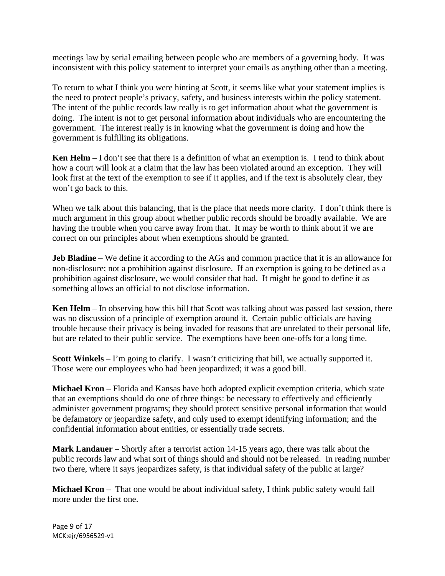meetings law by serial emailing between people who are members of a governing body. It was inconsistent with this policy statement to interpret your emails as anything other than a meeting.

To return to what I think you were hinting at Scott, it seems like what your statement implies is the need to protect people's privacy, safety, and business interests within the policy statement. The intent of the public records law really is to get information about what the government is doing. The intent is not to get personal information about individuals who are encountering the government. The interest really is in knowing what the government is doing and how the government is fulfilling its obligations.

**Ken Helm** – I don't see that there is a definition of what an exemption is. I tend to think about how a court will look at a claim that the law has been violated around an exception. They will look first at the text of the exemption to see if it applies, and if the text is absolutely clear, they won't go back to this.

When we talk about this balancing, that is the place that needs more clarity. I don't think there is much argument in this group about whether public records should be broadly available. We are having the trouble when you carve away from that. It may be worth to think about if we are correct on our principles about when exemptions should be granted.

**Jeb Bladine** – We define it according to the AGs and common practice that it is an allowance for non-disclosure; not a prohibition against disclosure. If an exemption is going to be defined as a prohibition against disclosure, we would consider that bad. It might be good to define it as something allows an official to not disclose information.

**Ken Helm** – In observing how this bill that Scott was talking about was passed last session, there was no discussion of a principle of exemption around it. Certain public officials are having trouble because their privacy is being invaded for reasons that are unrelated to their personal life, but are related to their public service. The exemptions have been one-offs for a long time.

**Scott Winkels** – I'm going to clarify. I wasn't criticizing that bill, we actually supported it. Those were our employees who had been jeopardized; it was a good bill.

**Michael Kron** – Florida and Kansas have both adopted explicit exemption criteria, which state that an exemptions should do one of three things: be necessary to effectively and efficiently administer government programs; they should protect sensitive personal information that would be defamatory or jeopardize safety, and only used to exempt identifying information; and the confidential information about entities, or essentially trade secrets.

**Mark Landauer** – Shortly after a terrorist action 14-15 years ago, there was talk about the public records law and what sort of things should and should not be released. In reading number two there, where it says jeopardizes safety, is that individual safety of the public at large?

**Michael Kron** – That one would be about individual safety, I think public safety would fall more under the first one.

Page 9 of 17 MCK:ejr/6956529‐v1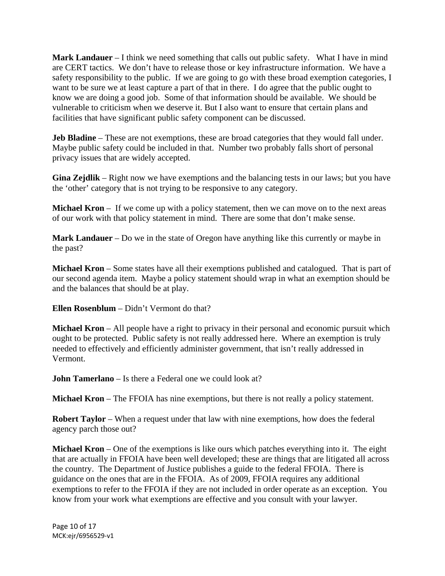**Mark Landauer** – I think we need something that calls out public safety. What I have in mind are CERT tactics. We don't have to release those or key infrastructure information. We have a safety responsibility to the public. If we are going to go with these broad exemption categories, I want to be sure we at least capture a part of that in there. I do agree that the public ought to know we are doing a good job. Some of that information should be available. We should be vulnerable to criticism when we deserve it. But I also want to ensure that certain plans and facilities that have significant public safety component can be discussed.

**Jeb Bladine** – These are not exemptions, these are broad categories that they would fall under. Maybe public safety could be included in that. Number two probably falls short of personal privacy issues that are widely accepted.

**Gina Zejdlik** – Right now we have exemptions and the balancing tests in our laws; but you have the 'other' category that is not trying to be responsive to any category.

**Michael Kron** – If we come up with a policy statement, then we can move on to the next areas of our work with that policy statement in mind. There are some that don't make sense.

**Mark Landauer** – Do we in the state of Oregon have anything like this currently or maybe in the past?

**Michael Kron** – Some states have all their exemptions published and catalogued. That is part of our second agenda item. Maybe a policy statement should wrap in what an exemption should be and the balances that should be at play.

**Ellen Rosenblum** – Didn't Vermont do that?

**Michael Kron** – All people have a right to privacy in their personal and economic pursuit which ought to be protected. Public safety is not really addressed here. Where an exemption is truly needed to effectively and efficiently administer government, that isn't really addressed in Vermont.

**John Tamerlano** – Is there a Federal one we could look at?

**Michael Kron** – The FFOIA has nine exemptions, but there is not really a policy statement.

**Robert Taylor** – When a request under that law with nine exemptions, how does the federal agency parch those out?

**Michael Kron** – One of the exemptions is like ours which patches everything into it. The eight that are actually in FFOIA have been well developed; these are things that are litigated all across the country. The Department of Justice publishes a guide to the federal FFOIA. There is guidance on the ones that are in the FFOIA. As of 2009, FFOIA requires any additional exemptions to refer to the FFOIA if they are not included in order operate as an exception. You know from your work what exemptions are effective and you consult with your lawyer.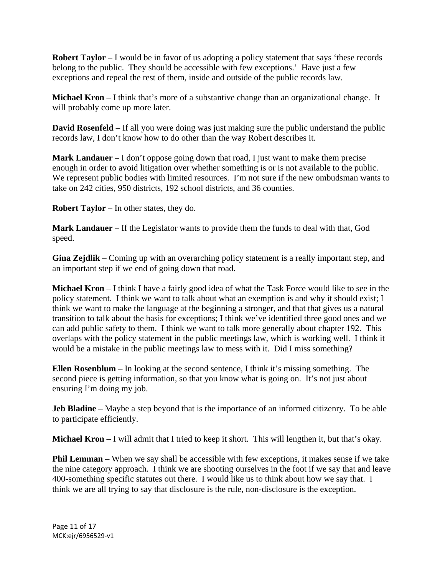**Robert Taylor** – I would be in favor of us adopting a policy statement that says 'these records belong to the public. They should be accessible with few exceptions.' Have just a few exceptions and repeal the rest of them, inside and outside of the public records law.

**Michael Kron** – I think that's more of a substantive change than an organizational change. It will probably come up more later.

**David Rosenfeld** – If all you were doing was just making sure the public understand the public records law, I don't know how to do other than the way Robert describes it.

**Mark Landauer** – I don't oppose going down that road, I just want to make them precise enough in order to avoid litigation over whether something is or is not available to the public. We represent public bodies with limited resources. I'm not sure if the new ombudsman wants to take on 242 cities, 950 districts, 192 school districts, and 36 counties.

**Robert Taylor** – In other states, they do.

**Mark Landauer** – If the Legislator wants to provide them the funds to deal with that, God speed.

**Gina Zejdlik** – Coming up with an overarching policy statement is a really important step, and an important step if we end of going down that road.

**Michael Kron** – I think I have a fairly good idea of what the Task Force would like to see in the policy statement. I think we want to talk about what an exemption is and why it should exist; I think we want to make the language at the beginning a stronger, and that that gives us a natural transition to talk about the basis for exceptions; I think we've identified three good ones and we can add public safety to them. I think we want to talk more generally about chapter 192. This overlaps with the policy statement in the public meetings law, which is working well. I think it would be a mistake in the public meetings law to mess with it. Did I miss something?

**Ellen Rosenblum** – In looking at the second sentence, I think it's missing something. The second piece is getting information, so that you know what is going on. It's not just about ensuring I'm doing my job.

**Jeb Bladine** – Maybe a step beyond that is the importance of an informed citizenry. To be able to participate efficiently.

**Michael Kron** – I will admit that I tried to keep it short. This will lengthen it, but that's okay.

**Phil Lemman** – When we say shall be accessible with few exceptions, it makes sense if we take the nine category approach. I think we are shooting ourselves in the foot if we say that and leave 400-something specific statutes out there. I would like us to think about how we say that. I think we are all trying to say that disclosure is the rule, non-disclosure is the exception.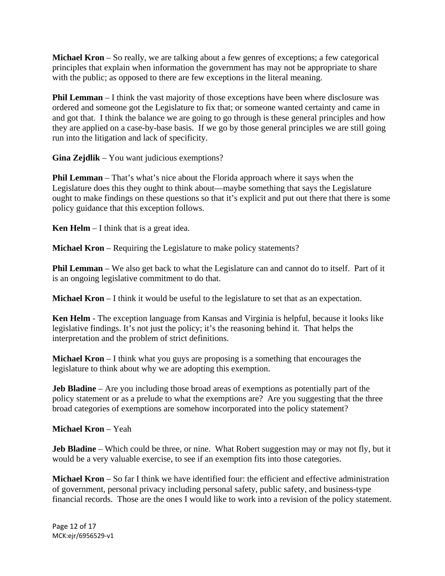**Michael Kron** – So really, we are talking about a few genres of exceptions; a few categorical principles that explain when information the government has may not be appropriate to share with the public; as opposed to there are few exceptions in the literal meaning.

**Phil Lemman** – I think the vast majority of those exceptions have been where disclosure was ordered and someone got the Legislature to fix that; or someone wanted certainty and came in and got that. I think the balance we are going to go through is these general principles and how they are applied on a case-by-base basis. If we go by those general principles we are still going run into the litigation and lack of specificity.

**Gina Zejdlik** – You want judicious exemptions?

**Phil Lemman** – That's what's nice about the Florida approach where it says when the Legislature does this they ought to think about—maybe something that says the Legislature ought to make findings on these questions so that it's explicit and put out there that there is some policy guidance that this exception follows.

**Ken Helm** – I think that is a great idea.

**Michael Kron** – Requiring the Legislature to make policy statements?

**Phil Lemman** – We also get back to what the Legislature can and cannot do to itself. Part of it is an ongoing legislative commitment to do that.

**Michael Kron** – I think it would be useful to the legislature to set that as an expectation.

**Ken Helm** - The exception language from Kansas and Virginia is helpful, because it looks like legislative findings. It's not just the policy; it's the reasoning behind it. That helps the interpretation and the problem of strict definitions.

**Michael Kron** – I think what you guys are proposing is a something that encourages the legislature to think about why we are adopting this exemption.

**Jeb Bladine** – Are you including those broad areas of exemptions as potentially part of the policy statement or as a prelude to what the exemptions are? Are you suggesting that the three broad categories of exemptions are somehow incorporated into the policy statement?

**Michael Kron** – Yeah

**Jeb Bladine** – Which could be three, or nine. What Robert suggestion may or may not fly, but it would be a very valuable exercise, to see if an exemption fits into those categories.

**Michael Kron** – So far I think we have identified four: the efficient and effective administration of government, personal privacy including personal safety, public safety, and business-type financial records. Those are the ones I would like to work into a revision of the policy statement.

Page 12 of 17 MCK:ejr/6956529‐v1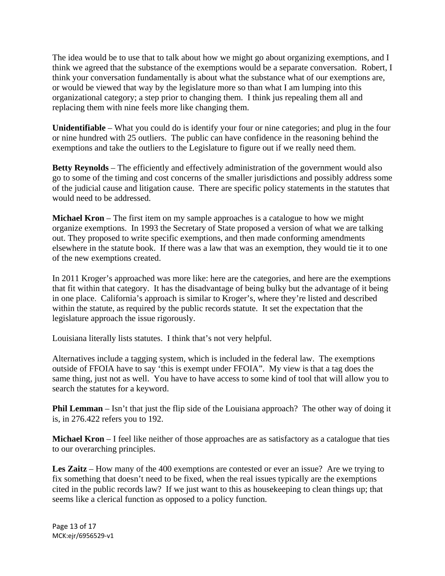The idea would be to use that to talk about how we might go about organizing exemptions, and I think we agreed that the substance of the exemptions would be a separate conversation. Robert, I think your conversation fundamentally is about what the substance what of our exemptions are, or would be viewed that way by the legislature more so than what I am lumping into this organizational category; a step prior to changing them. I think jus repealing them all and replacing them with nine feels more like changing them.

**Unidentifiable** – What you could do is identify your four or nine categories; and plug in the four or nine hundred with 25 outliers. The public can have confidence in the reasoning behind the exemptions and take the outliers to the Legislature to figure out if we really need them.

**Betty Reynolds** – The efficiently and effectively administration of the government would also go to some of the timing and cost concerns of the smaller jurisdictions and possibly address some of the judicial cause and litigation cause. There are specific policy statements in the statutes that would need to be addressed.

**Michael Kron** – The first item on my sample approaches is a catalogue to how we might organize exemptions. In 1993 the Secretary of State proposed a version of what we are talking out. They proposed to write specific exemptions, and then made conforming amendments elsewhere in the statute book. If there was a law that was an exemption, they would tie it to one of the new exemptions created.

In 2011 Kroger's approached was more like: here are the categories, and here are the exemptions that fit within that category. It has the disadvantage of being bulky but the advantage of it being in one place. California's approach is similar to Kroger's, where they're listed and described within the statute, as required by the public records statute. It set the expectation that the legislature approach the issue rigorously.

Louisiana literally lists statutes. I think that's not very helpful.

Alternatives include a tagging system, which is included in the federal law. The exemptions outside of FFOIA have to say 'this is exempt under FFOIA". My view is that a tag does the same thing, just not as well. You have to have access to some kind of tool that will allow you to search the statutes for a keyword.

**Phil Lemman** – Isn't that just the flip side of the Louisiana approach? The other way of doing it is, in 276.422 refers you to 192.

**Michael Kron** – I feel like neither of those approaches are as satisfactory as a catalogue that ties to our overarching principles.

**Les Zaitz** – How many of the 400 exemptions are contested or ever an issue? Are we trying to fix something that doesn't need to be fixed, when the real issues typically are the exemptions cited in the public records law? If we just want to this as housekeeping to clean things up; that seems like a clerical function as opposed to a policy function.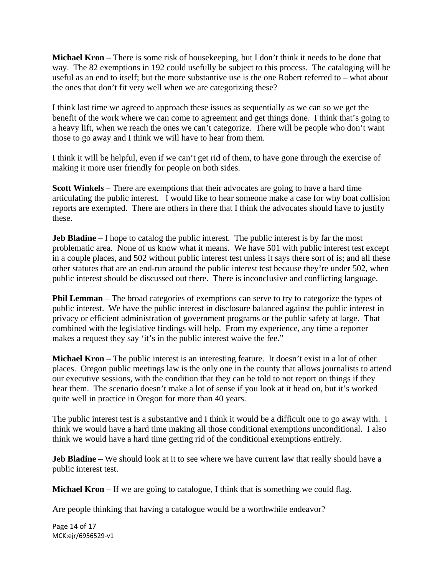**Michael Kron** – There is some risk of housekeeping, but I don't think it needs to be done that way. The 82 exemptions in 192 could usefully be subject to this process. The cataloging will be useful as an end to itself; but the more substantive use is the one Robert referred to – what about the ones that don't fit very well when we are categorizing these?

I think last time we agreed to approach these issues as sequentially as we can so we get the benefit of the work where we can come to agreement and get things done. I think that's going to a heavy lift, when we reach the ones we can't categorize. There will be people who don't want those to go away and I think we will have to hear from them.

I think it will be helpful, even if we can't get rid of them, to have gone through the exercise of making it more user friendly for people on both sides.

**Scott Winkels** – There are exemptions that their advocates are going to have a hard time articulating the public interest. I would like to hear someone make a case for why boat collision reports are exempted. There are others in there that I think the advocates should have to justify these.

**Jeb Bladine** – I hope to catalog the public interest. The public interest is by far the most problematic area. None of us know what it means. We have 501 with public interest test except in a couple places, and 502 without public interest test unless it says there sort of is; and all these other statutes that are an end-run around the public interest test because they're under 502, when public interest should be discussed out there. There is inconclusive and conflicting language.

**Phil Lemman** – The broad categories of exemptions can serve to try to categorize the types of public interest. We have the public interest in disclosure balanced against the public interest in privacy or efficient administration of government programs or the public safety at large. That combined with the legislative findings will help. From my experience, any time a reporter makes a request they say 'it's in the public interest waive the fee."

**Michael Kron** – The public interest is an interesting feature. It doesn't exist in a lot of other places. Oregon public meetings law is the only one in the county that allows journalists to attend our executive sessions, with the condition that they can be told to not report on things if they hear them. The scenario doesn't make a lot of sense if you look at it head on, but it's worked quite well in practice in Oregon for more than 40 years.

The public interest test is a substantive and I think it would be a difficult one to go away with. I think we would have a hard time making all those conditional exemptions unconditional. I also think we would have a hard time getting rid of the conditional exemptions entirely.

**Jeb Bladine** – We should look at it to see where we have current law that really should have a public interest test.

**Michael Kron** – If we are going to catalogue, I think that is something we could flag.

Are people thinking that having a catalogue would be a worthwhile endeavor?

Page 14 of 17 MCK:ejr/6956529‐v1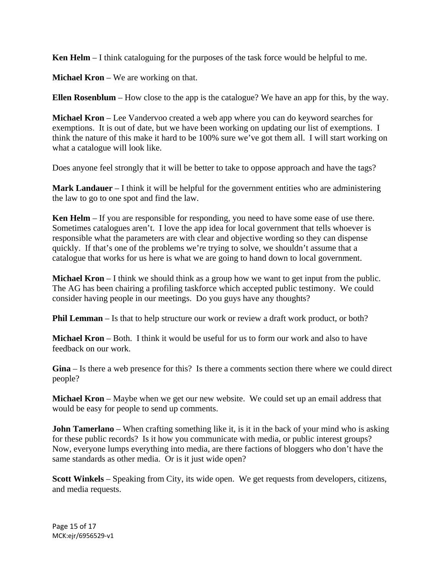**Ken Helm** – I think cataloguing for the purposes of the task force would be helpful to me.

**Michael Kron** – We are working on that.

**Ellen Rosenblum** – How close to the app is the catalogue? We have an app for this, by the way.

**Michael Kron** – Lee Vandervoo created a web app where you can do keyword searches for exemptions. It is out of date, but we have been working on updating our list of exemptions. I think the nature of this make it hard to be 100% sure we've got them all. I will start working on what a catalogue will look like.

Does anyone feel strongly that it will be better to take to oppose approach and have the tags?

**Mark Landauer** – I think it will be helpful for the government entities who are administering the law to go to one spot and find the law.

**Ken Helm** – If you are responsible for responding, you need to have some ease of use there. Sometimes catalogues aren't. I love the app idea for local government that tells whoever is responsible what the parameters are with clear and objective wording so they can dispense quickly. If that's one of the problems we're trying to solve, we shouldn't assume that a catalogue that works for us here is what we are going to hand down to local government.

**Michael Kron** – I think we should think as a group how we want to get input from the public. The AG has been chairing a profiling taskforce which accepted public testimony. We could consider having people in our meetings. Do you guys have any thoughts?

**Phil Lemman** – Is that to help structure our work or review a draft work product, or both?

**Michael Kron** – Both. I think it would be useful for us to form our work and also to have feedback on our work.

**Gina** – Is there a web presence for this? Is there a comments section there where we could direct people?

**Michael Kron** – Maybe when we get our new website. We could set up an email address that would be easy for people to send up comments.

**John Tamerlano** – When crafting something like it, is it in the back of your mind who is asking for these public records? Is it how you communicate with media, or public interest groups? Now, everyone lumps everything into media, are there factions of bloggers who don't have the same standards as other media. Or is it just wide open?

**Scott Winkels** – Speaking from City, its wide open. We get requests from developers, citizens, and media requests.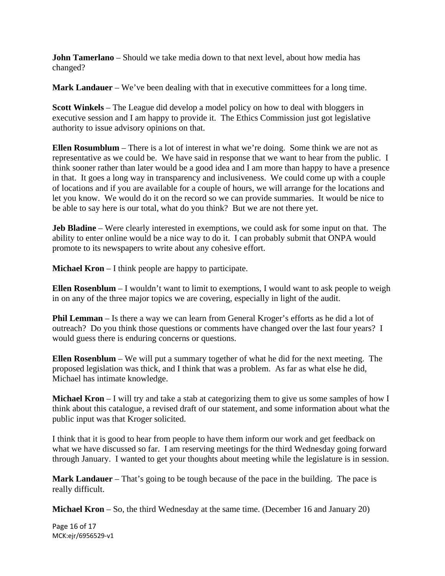**John Tamerlano** – Should we take media down to that next level, about how media has changed?

**Mark Landauer** – We've been dealing with that in executive committees for a long time.

**Scott Winkels** – The League did develop a model policy on how to deal with bloggers in executive session and I am happy to provide it. The Ethics Commission just got legislative authority to issue advisory opinions on that.

**Ellen Rosumblum** – There is a lot of interest in what we're doing. Some think we are not as representative as we could be. We have said in response that we want to hear from the public. I think sooner rather than later would be a good idea and I am more than happy to have a presence in that. It goes a long way in transparency and inclusiveness. We could come up with a couple of locations and if you are available for a couple of hours, we will arrange for the locations and let you know. We would do it on the record so we can provide summaries. It would be nice to be able to say here is our total, what do you think? But we are not there yet.

**Jeb Bladine** – Were clearly interested in exemptions, we could ask for some input on that. The ability to enter online would be a nice way to do it. I can probably submit that ONPA would promote to its newspapers to write about any cohesive effort.

**Michael Kron** – I think people are happy to participate.

**Ellen Rosenblum** – I wouldn't want to limit to exemptions, I would want to ask people to weigh in on any of the three major topics we are covering, especially in light of the audit.

**Phil Lemman** – Is there a way we can learn from General Kroger's efforts as he did a lot of outreach? Do you think those questions or comments have changed over the last four years? I would guess there is enduring concerns or questions.

**Ellen Rosenblum** – We will put a summary together of what he did for the next meeting. The proposed legislation was thick, and I think that was a problem. As far as what else he did, Michael has intimate knowledge.

**Michael Kron** – I will try and take a stab at categorizing them to give us some samples of how I think about this catalogue, a revised draft of our statement, and some information about what the public input was that Kroger solicited.

I think that it is good to hear from people to have them inform our work and get feedback on what we have discussed so far. I am reserving meetings for the third Wednesday going forward through January. I wanted to get your thoughts about meeting while the legislature is in session.

**Mark Landauer** – That's going to be tough because of the pace in the building. The pace is really difficult.

**Michael Kron** – So, the third Wednesday at the same time. (December 16 and January 20)

Page 16 of 17 MCK:ejr/6956529‐v1